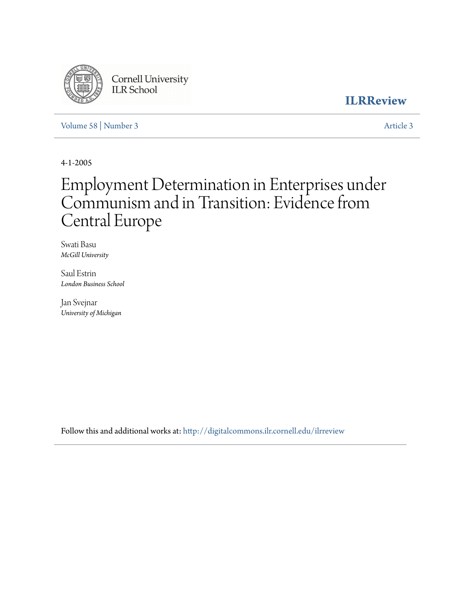

Cornell University<br>ILR School

**[ILRReview](http://digitalcommons.ilr.cornell.edu/ilrreview?utm_source=digitalcommons.ilr.cornell.edu%2Filrreview%2Fvol58%2Fiss3%2F3&utm_medium=PDF&utm_campaign=PDFCoverPages)**

[Volume 58](http://digitalcommons.ilr.cornell.edu/ilrreview/vol58?utm_source=digitalcommons.ilr.cornell.edu%2Filrreview%2Fvol58%2Fiss3%2F3&utm_medium=PDF&utm_campaign=PDFCoverPages) | [Number 3](http://digitalcommons.ilr.cornell.edu/ilrreview/vol58/iss3?utm_source=digitalcommons.ilr.cornell.edu%2Filrreview%2Fvol58%2Fiss3%2F3&utm_medium=PDF&utm_campaign=PDFCoverPages) [Article 3](http://digitalcommons.ilr.cornell.edu/ilrreview/vol58/iss3/3?utm_source=digitalcommons.ilr.cornell.edu%2Filrreview%2Fvol58%2Fiss3%2F3&utm_medium=PDF&utm_campaign=PDFCoverPages)

4-1-2005

# Employment Determination in Enterprises under Communism and in Transition: Evidence from Central Europe

Swati Basu *McGill University*

Saul Estrin *London Business School*

Jan Svejnar *University of Michigan*

Follow this and additional works at: [http://digitalcommons.ilr.cornell.edu/ilrreview](http://digitalcommons.ilr.cornell.edu/ilrreview?utm_source=digitalcommons.ilr.cornell.edu%2Filrreview%2Fvol58%2Fiss3%2F3&utm_medium=PDF&utm_campaign=PDFCoverPages)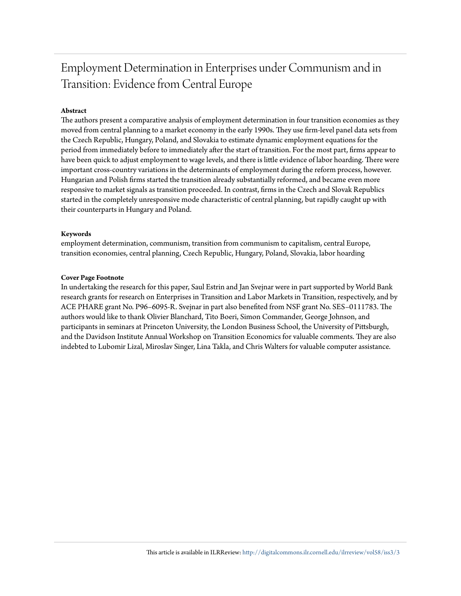# Employment Determination in Enterprises under Communism and in Transition: Evidence from Central Europe

# **Abstract**

The authors present a comparative analysis of employment determination in four transition economies as they moved from central planning to a market economy in the early 1990s. They use firm-level panel data sets from the Czech Republic, Hungary, Poland, and Slovakia to estimate dynamic employment equations for the period from immediately before to immediately after the start of transition. For the most part, firms appear to have been quick to adjust employment to wage levels, and there is little evidence of labor hoarding. There were important cross-country variations in the determinants of employment during the reform process, however. Hungarian and Polish firms started the transition already substantially reformed, and became even more responsive to market signals as transition proceeded. In contrast, firms in the Czech and Slovak Republics started in the completely unresponsive mode characteristic of central planning, but rapidly caught up with their counterparts in Hungary and Poland.

# **Keywords**

employment determination, communism, transition from communism to capitalism, central Europe, transition economies, central planning, Czech Republic, Hungary, Poland, Slovakia, labor hoarding

## **Cover Page Footnote**

In undertaking the research for this paper, Saul Estrin and Jan Svejnar were in part supported by World Bank research grants for research on Enterprises in Transition and Labor Markets in Transition, respectively, and by ACE PHARE grant No. P96–6095-R. Svejnar in part also benefited from NSF grant No. SES–0111783. The authors would like to thank Olivier Blanchard, Tito Boeri, Simon Commander, George Johnson, and participants in seminars at Princeton University, the London Business School, the University of Pittsburgh, and the Davidson Institute Annual Workshop on Transition Economics for valuable comments. They are also indebted to Lubomir Lizal, Miroslav Singer, Lina Takla, and Chris Walters for valuable computer assistance.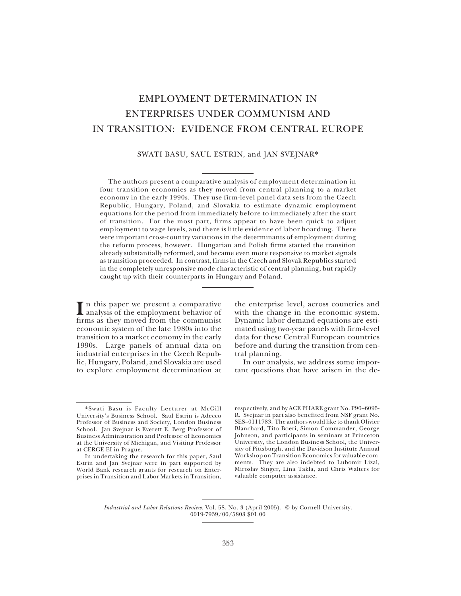# EMPLOYMENT DETERMINATION IN ENTERPRISES UNDER COMMUNISM AND IN TRANSITION: EVIDENCE FROM CENTRAL EUROPE

## SWATI BASU, SAUL ESTRIN, and JAN SVEJNAR\*

The authors present a comparative analysis of employment determination in four transition economies as they moved from central planning to a market economy in the early 1990s. They use firm-level panel data sets from the Czech Republic, Hungary, Poland, and Slovakia to estimate dynamic employment equations for the period from immediately before to immediately after the start of transition. For the most part, firms appear to have been quick to adjust employment to wage levels, and there is little evidence of labor hoarding. There were important cross-country variations in the determinants of employment during the reform process, however. Hungarian and Polish firms started the transition already substantially reformed, and became even more responsive to market signals as transition proceeded. In contrast, firms in the Czech and Slovak Republics started in the completely unresponsive mode characteristic of central planning, but rapidly caught up with their counterparts in Hungary and Poland.

In this paper we present a comparative<br>
analysis of the employment behavior of analysis of the employment behavior of firms as they moved from the communist economic system of the late 1980s into the transition to a market economy in the early 1990s. Large panels of annual data on industrial enterprises in the Czech Republic, Hungary, Poland, and Slovakia are used to explore employment determination at the enterprise level, across countries and with the change in the economic system. Dynamic labor demand equations are estimated using two-year panels with firm-level data for these Central European countries before and during the transition from central planning.

In our analysis, we address some important questions that have arisen in the de-

respectively, and by ACE PHARE grant No. P96–6095- R. Svejnar in part also benefited from NSF grant No. SES–0111783. The authors would like to thank Olivier Blanchard, Tito Boeri, Simon Commander, George Johnson, and participants in seminars at Princeton University, the London Business School, the University of Pittsburgh, and the Davidson Institute Annual Workshop on Transition Economics for valuable comments. They are also indebted to Lubomir Lizal, Miroslav Singer, Lina Takla, and Chris Walters for valuable computer assistance.

*Industrial and Labor Relations Review,* Vol. 58, No. 3 (April 2005). © by Cornell University. 0019-7939/00/5803 \$01.00

<sup>\*</sup>Swati Basu is Faculty Lecturer at McGill University's Business School. Saul Estrin is Adecco Professor of Business and Society, London Business School. Jan Svejnar is Everett E. Berg Professor of Business Administration and Professor of Economics at the University of Michigan, and Visiting Professor at CERGE-EI in Prague.

In undertaking the research for this paper, Saul Estrin and Jan Svejnar were in part supported by World Bank research grants for research on Enterprises in Transition and Labor Markets in Transition,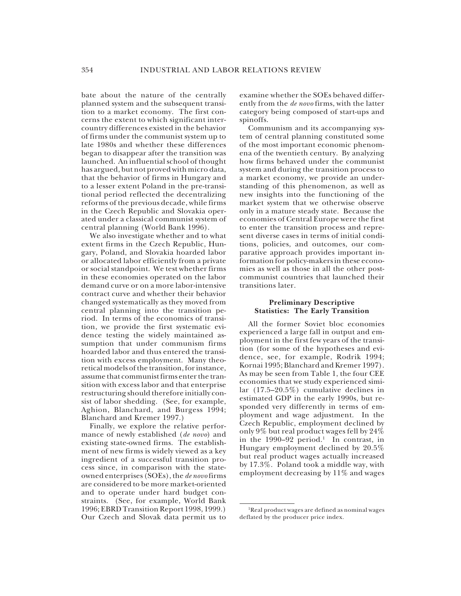bate about the nature of the centrally planned system and the subsequent transition to a market economy. The first concerns the extent to which significant intercountry differences existed in the behavior of firms under the communist system up to late 1980s and whether these differences began to disappear after the transition was launched. An influential school of thought has argued, but not proved with micro data, that the behavior of firms in Hungary and to a lesser extent Poland in the pre-transitional period reflected the decentralizing reforms of the previous decade, while firms in the Czech Republic and Slovakia operated under a classical communist system of central planning (World Bank 1996).

We also investigate whether and to what extent firms in the Czech Republic, Hungary, Poland, and Slovakia hoarded labor or allocated labor efficiently from a private or social standpoint. We test whether firms in these economies operated on the labor demand curve or on a more labor-intensive contract curve and whether their behavior changed systematically as they moved from central planning into the transition period. In terms of the economics of transition, we provide the first systematic evidence testing the widely maintained assumption that under communism firms hoarded labor and thus entered the transition with excess employment. Many theoretical models of the transition, for instance, assume that communist firms enter the transition with excess labor and that enterprise restructuring should therefore initially consist of labor shedding. (See, for example, Aghion, Blanchard, and Burgess 1994; Blanchard and Kremer 1997.)

Finally, we explore the relative performance of newly established (*de novo*) and existing state-owned firms. The establishment of new firms is widely viewed as a key ingredient of a successful transition process since, in comparison with the stateowned enterprises (SOEs), the *de novo* firms are considered to be more market-oriented and to operate under hard budget constraints. (See, for example, World Bank 1996; EBRD Transition Report 1998, 1999.) Our Czech and Slovak data permit us to

examine whether the SOEs behaved differently from the *de novo* firms, with the latter category being composed of start-ups and spinoffs.

Communism and its accompanying system of central planning constituted some of the most important economic phenomena of the twentieth century. By analyzing how firms behaved under the communist system and during the transition process to a market economy, we provide an understanding of this phenomenon, as well as new insights into the functioning of the market system that we otherwise observe only in a mature steady state. Because the economies of Central Europe were the first to enter the transition process and represent diverse cases in terms of initial conditions, policies, and outcomes, our comparative approach provides important information for policy-makers in these economies as well as those in all the other postcommunist countries that launched their transitions later.

#### **Preliminary Descriptive Statistics: The Early Transition**

All the former Soviet bloc economies experienced a large fall in output and employment in the first few years of the transition (for some of the hypotheses and evidence, see, for example, Rodrik 1994; Kornai 1995; Blanchard and Kremer 1997). As may be seen from Table 1, the four CEE economies that we study experienced similar (17.5–20.5%) cumulative declines in estimated GDP in the early 1990s, but responded very differently in terms of employment and wage adjustment. In the Czech Republic, employment declined by only 9% but real product wages fell by 24% in the 1990–92 period.<sup>1</sup> In contrast, in Hungary employment declined by 20.5% but real product wages actually increased by 17.3%. Poland took a middle way, with employment decreasing by 11% and wages

<sup>1</sup>Real product wages are defined as nominal wages deflated by the producer price index.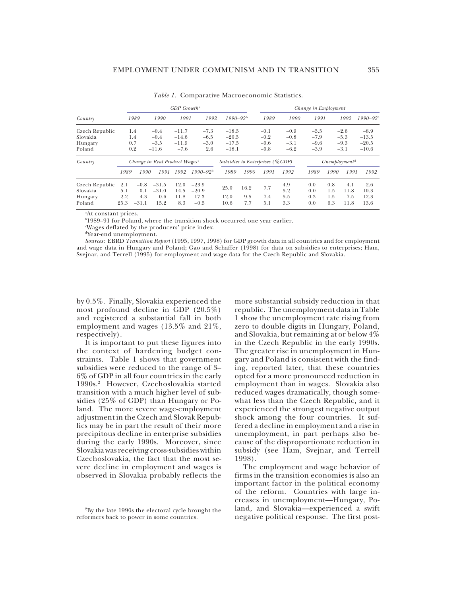|                            |            |                                           |                    | $GDP$ Growth <sup>a</sup> |                                                              |              |      |        |            | Change in Employment |            |             |              |
|----------------------------|------------|-------------------------------------------|--------------------|---------------------------|--------------------------------------------------------------|--------------|------|--------|------------|----------------------|------------|-------------|--------------|
| Country                    |            | 1989                                      | 1990               | 1991                      | 1992                                                         | $1990 - 92b$ |      | 1989   | 1990       | 1991                 |            | 1992        | $1990 - 92b$ |
| Czech Republic             |            | 1.4                                       | $-0.4$             | $-11.7$                   | $-7.3$                                                       | $-18.5$      |      | $-0.1$ | $-0.9$     | $-5.5$               |            | $-2.6$      | $-8.9$       |
| Slovakia                   |            | 1.4                                       | $-0.4$             | $-14.6$                   | $-6.5$                                                       | $-20.5$      |      | $-0.2$ | $-0.8$     | $-7.9$               |            | $-5.3$      | $-13.5$      |
| Hungary                    |            | 0.7                                       | $-3.5$             | $-11.9$                   | $-3.0$                                                       | $-17.5$      |      | $-0.6$ | $-3.1$     | $-9.6$               |            | $-9.3$      | $-20.5$      |
| Poland                     |            | 0.2                                       | $-11.6$            | $-7.6$                    | 2.6                                                          | $-18.1$      |      | $-0.8$ | $-6.2$     | $-3.9$               |            | $-3.1$      | $-10.6$      |
| Country                    |            | Change in Real Product Wages <sup>c</sup> |                    |                           | Unemblovment <sup>d</sup><br>Subsidies to Enterprises (%GDP) |              |      |        |            |                      |            |             |              |
|                            | 1989       | 1990                                      | 1991               | 1992                      | $1990 - 92b$                                                 | 1989         | 1990 | 1991   | 1992       | 1989                 | 1990       | 1991        | 1992         |
| Czech Republic<br>Slovakia | 2.1<br>5.1 | $-0.8$<br>0.1                             | $-31.5$<br>$-31.0$ | 12.0<br>14.5              | $-23.9$<br>$-20.9$                                           | 25.0         | 16.2 | 7.7    | 4.9<br>5.2 | 0.0<br>0.0           | 0.8<br>1.5 | 4.1<br>11.8 | 2.6<br>10.3  |
| Hungary                    | 2.2        | 4.3                                       | 0.6                | 11.8                      | 17.3                                                         | 12.0         | 9.5  | 7.4    | 5.5        | 0.3                  | 1.5        | 7.5         | 12.3         |
| Poland                     | 25.3       | $-31.1$                                   | 15.2               | 8.3                       | $-0.5$                                                       | 10.6         | 7.7  | 5.1    | 3.3        | 0.0                  | 6.3        | 11.8        | 13.6         |

*Table 1.* Comparative Macroeconomic Statistics.

a At constant prices.

b 1989–91 for Poland, where the transition shock occurred one year earlier.

c Wages deflated by the producers' price index.

dYear-end unemployment.

*Sources:* EBRD *Transition Report* (1995, 1997, 1998) for GDP growth data in all countries and for employment and wage data in Hungary and Poland; Gao and Schaffer (1998) for data on subsidies to enterprises; Ham, Svejnar, and Terrell (1995) for employment and wage data for the Czech Republic and Slovakia.

by 0.5%. Finally, Slovakia experienced the most profound decline in GDP (20.5%) and registered a substantial fall in both employment and wages (13.5% and 21%, respectively).

It is important to put these figures into the context of hardening budget constraints. Table 1 shows that government subsidies were reduced to the range of 3– 6% of GDP in all four countries in the early 1990s.2 However, Czechoslovakia started transition with a much higher level of subsidies (25% of GDP) than Hungary or Poland. The more severe wage-employment adjustment in the Czech and Slovak Republics may be in part the result of their more precipitous decline in enterprise subsidies during the early 1990s. Moreover, since Slovakia was receiving cross-subsidies within Czechoslovakia, the fact that the most severe decline in employment and wages is observed in Slovakia probably reflects the

more substantial subsidy reduction in that republic. The unemployment data in Table 1 show the unemployment rate rising from zero to double digits in Hungary, Poland, and Slovakia, but remaining at or below 4% in the Czech Republic in the early 1990s. The greater rise in unemployment in Hungary and Poland is consistent with the finding, reported later, that these countries opted for a more pronounced reduction in employment than in wages. Slovakia also reduced wages dramatically, though somewhat less than the Czech Republic, and it experienced the strongest negative output shock among the four countries. It suffered a decline in employment and a rise in unemployment, in part perhaps also because of the disproportionate reduction in subsidy (see Ham, Svejnar, and Terrell 1998).

The employment and wage behavior of firms in the transition economies is also an important factor in the political economy of the reform. Countries with large increases in unemployment—Hungary, Poland, and Slovakia—experienced a swift negative political response. The first post-

<sup>2</sup>By the late 1990s the electoral cycle brought the reformers back to power in some countries.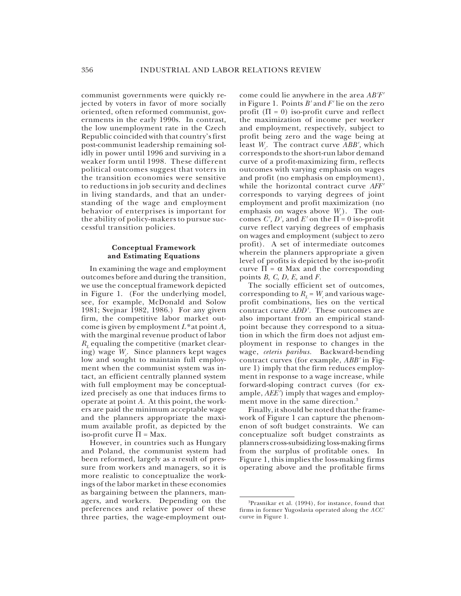communist governments were quickly rejected by voters in favor of more socially oriented, often reformed communist, governments in the early 1990s. In contrast, the low unemployment rate in the Czech Republic coincided with that country's first post-communist leadership remaining solidly in power until 1996 and surviving in a weaker form until 1998. These different political outcomes suggest that voters in the transition economies were sensitive to reductions in job security and declines in living standards, and that an understanding of the wage and employment behavior of enterprises is important for the ability of policy-makers to pursue successful transition policies.

#### **Conceptual Framework and Estimating Equations**

In examining the wage and employment outcomes before and during the transition, we use the conceptual framework depicted in Figure 1. (For the underlying model, see, for example, McDonald and Solow 1981; Svejnar 1982, 1986.) For any given firm, the competitive labor market outcome is given by employment *L\** at point *A,* with the marginal revenue product of labor *R*, equaling the competitive (market clearing) wage *W<sub>c</sub>*. Since planners kept wages low and sought to maintain full employment when the communist system was intact, an efficient centrally planned system with full employment may be conceptualized precisely as one that induces firms to operate at point *A.* At this point, the workers are paid the minimum acceptable wage and the planners appropriate the maximum available profit, as depicted by the iso-profit curve  $\Pi$  = Max.

However, in countries such as Hungary and Poland, the communist system had been reformed, largely as a result of pressure from workers and managers, so it is more realistic to conceptualize the workings of the labor market in these economies as bargaining between the planners, managers, and workers. Depending on the preferences and relative power of these three parties, the wage-employment out-

come could lie anywhere in the area *AB'F'* in Figure 1. Points *B'* and *F'* lie on the zero profit ( $\Pi = 0$ ) iso-profit curve and reflect the maximization of income per worker and employment, respectively, subject to profit being zero and the wage being at least *W<sub><sub>c</sub>*</sub>. The contract curve *ABB'*, which corresponds to the short-run labor demand curve of a profit-maximizing firm, reflects outcomes with varying emphasis on wages and profit (no emphasis on employment), while the horizontal contract curve *AFF'* corresponds to varying degrees of joint employment and profit maximization (no emphasis on wages above  $W_{c}$ ). The outcomes *C'*, *D'*, and *E'* on the  $\Pi = 0$  iso-profit curve reflect varying degrees of emphasis on wages and employment (subject to zero profit). A set of intermediate outcomes wherein the planners appropriate a given level of profits is depicted by the iso-profit curve  $\Pi = \alpha$  Max and the corresponding points *B, C, D, E,* and *F.*

The socially efficient set of outcomes, corresponding to  $R<sub>L</sub>$  =  $W<sub>L</sub>$  and various wageprofit combinations, lies on the vertical contract curve *ADD'.* These outcomes are also important from an empirical standpoint because they correspond to a situation in which the firm does not adjust employment in response to changes in the wage, *ceteris paribus.* Backward-bending contract curves (for example, *ABB'* in Figure 1) imply that the firm reduces employment in response to a wage increase, while forward-sloping contract curves (for example, *AEE'*) imply that wages and employment move in the same direction.<sup>3</sup>

Finally, it should be noted that the framework of Figure 1 can capture the phenomenon of soft budget constraints. We can conceptualize soft budget constraints as planners cross-subsidizing loss-making firms from the surplus of profitable ones. In Figure 1, this implies the loss-making firms operating above and the profitable firms

<sup>3</sup>Prasnikar et al. (1994), for instance, found that firms in former Yugoslavia operated along the *ACC'* curve in Figure 1.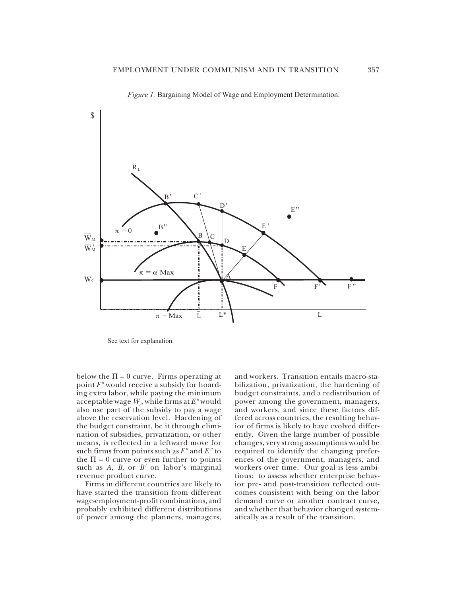

*Figure 1.* Bargaining Model of Wage and Employment Determination.

See text for explanation.

below the  $\Pi = 0$  curve. Firms operating at point *F"* would receive a subsidy for hoarding extra labor, while paying the minimum acceptable wage  $W_{\!\scriptscriptstyle\beta}$ , while firms at  $E^{\prime\prime}$  would also use part of the subsidy to pay a wage above the reservation level. Hardening of the budget constraint, be it through elimination of subsidies, privatization, or other means, is reflected in a leftward move for such firms from points such as *F"* and *E"* to the  $\Pi = 0$  curve or even further to points such as *A, B*, or *B'* on labor's marginal revenue product curve.

Firms in different countries are likely to have started the transition from different wage-employment-profit combinations, and probably exhibited different distributions of power among the planners, managers,

and workers. Transition entails macro-stabilization, privatization, the hardening of budget constraints, and a redistribution of power among the government, managers, and workers, and since these factors differed across countries, the resulting behavior of firms is likely to have evolved differently. Given the large number of possible changes, very strong assumptions would be required to identify the changing preferences of the government, managers, and workers over time. Our goal is less ambitious: to assess whether enterprise behavior pre- and post-transition reflected outcomes consistent with being on the labor demand curve or another contract curve, and whether that behavior changed systematically as a result of the transition.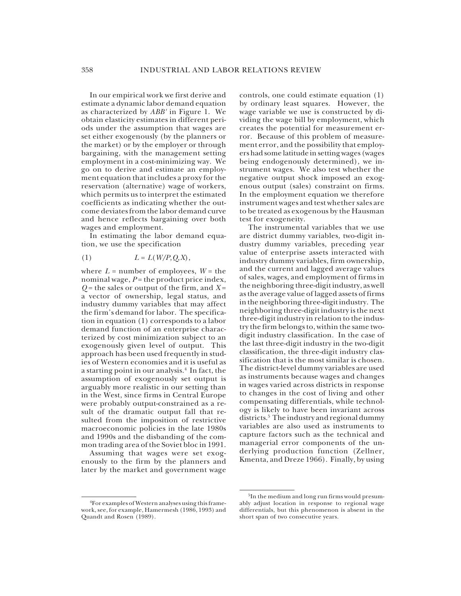In our empirical work we first derive and estimate a dynamic labor demand equation as characterized by *ABB'* in Figure 1. We obtain elasticity estimates in different periods under the assumption that wages are set either exogenously (by the planners or the market) or by the employer or through bargaining, with the management setting employment in a cost-minimizing way. We go on to derive and estimate an employment equation that includes a proxy for the reservation (alternative) wage of workers, which permits us to interpret the estimated coefficients as indicating whether the outcome deviates from the labor demand curve and hence reflects bargaining over both wages and employment.

In estimating the labor demand equation, we use the specification

$$
(1) \tL = L(W/P, Q, X),
$$

where  $L$  = number of employees,  $W$  = the nominal wage, *P* = the product price index, *Q* = the sales or output of the firm, and *<sup>X</sup>* <sup>=</sup> a vector of ownership, legal status, and industry dummy variables that may affect the firm's demand for labor. The specification in equation (1) corresponds to a labor demand function of an enterprise characterized by cost minimization subject to an exogenously given level of output. This approach has been used frequently in studies of Western economies and it is useful as a starting point in our analysis.4 In fact, the assumption of exogenously set output is arguably more realistic in our setting than in the West, since firms in Central Europe were probably output-constrained as a result of the dramatic output fall that resulted from the imposition of restrictive macroeconomic policies in the late 1980s and 1990s and the disbanding of the common trading area of the Soviet bloc in 1991.

Assuming that wages were set exogenously to the firm by the planners and later by the market and government wage

4For examples of Western analyses using this framework, see, for example, Hamermesh (1986, 1993) and Quandt and Rosen (1989).

controls, one could estimate equation (1) by ordinary least squares. However, the wage variable we use is constructed by dividing the wage bill by employment, which creates the potential for measurement error. Because of this problem of measurement error, and the possibility that employers had some latitude in setting wages (wages being endogenously determined), we instrument wages. We also test whether the negative output shock imposed an exogenous output (sales) constraint on firms. In the employment equation we therefore instrument wages and test whether sales are to be treated as exogenous by the Hausman test for exogeneity.

The instrumental variables that we use are district dummy variables, two-digit industry dummy variables, preceding year value of enterprise assets interacted with industry dummy variables, firm ownership, and the current and lagged average values of sales, wages, and employment of firms in the neighboring three-digit industry, as well as the average value of lagged assets of firms in the neighboring three-digit industry. The neighboring three-digit industry is the next three-digit industry in relation to the industry the firm belongs to, within the same twodigit industry classification. In the case of the last three-digit industry in the two-digit classification, the three-digit industry classification that is the most similar is chosen. The district-level dummy variables are used as instruments because wages and changes in wages varied across districts in response to changes in the cost of living and other compensating differentials, while technology is likely to have been invariant across districts.<sup>5</sup> The industry and regional dummy variables are also used as instruments to capture factors such as the technical and managerial error components of the underlying production function (Zellner, Kmenta, and Dreze 1966). Finally, by using

<sup>&</sup>lt;sup>5</sup>In the medium and long run firms would presumably adjust location in response to regional wage differentials, but this phenomenon is absent in the short span of two consecutive years.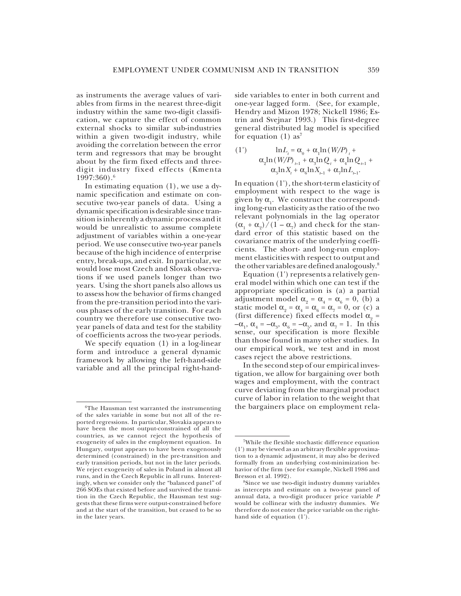as instruments the average values of variables from firms in the nearest three-digit industry within the same two-digit classification, we capture the effect of common external shocks to similar sub-industries within a given two-digit industry, while avoiding the correlation between the error term and regressors that may be brought about by the firm fixed effects and threedigit industry fixed effects (Kmenta 1997:360).6

In estimating equation (1), we use a dynamic specification and estimate on consecutive two-year panels of data. Using a dynamic specification is desirable since transition is inherently a dynamic process and it would be unrealistic to assume complete adjustment of variables within a one-year period. We use consecutive two-year panels because of the high incidence of enterprise entry, break-ups, and exit. In particular, we would lose most Czech and Slovak observations if we used panels longer than two years. Using the short panels also allows us to assess how the behavior of firms changed from the pre-transition period into the various phases of the early transition. For each country we therefore use consecutive twoyear panels of data and test for the stability of coefficients across the two-year periods.

We specify equation (1) in a log-linear form and introduce a general dynamic framework by allowing the left-hand-side variable and all the principal right-handside variables to enter in both current and one-year lagged form. (See, for example, Hendry and Mizon 1978; Nickell 1986; Estrin and Svejnar 1993.) This first-degree general distributed lag model is specified for equation  $(1)$  as<sup>7</sup>

(1') 
$$
\ln L_{i} = \alpha_{0} + \alpha_{1} \ln (W/P)_{i} + \alpha_{2} \ln (W/P)_{i-1} + \alpha_{3} \ln Q_{i} + \alpha_{4} \ln Q_{i-1} + \alpha_{5} \ln X_{i} + \alpha_{6} \ln X_{i-1} + \alpha_{7} \ln L_{i-1}.
$$

In equation (1'), the short-term elasticity of employment with respect to the wage is given by α<sub>1</sub>. We construct the corresponding long-run elasticity as the ratio of the two relevant polynomials in the lag operator  $(\alpha_1 + \alpha_2)/(1 - \alpha_7)$  and check for the standard error of this statistic based on the covariance matrix of the underlying coefficients. The short- and long-run employment elasticities with respect to output and the other variables are defined analogously.8

Equation (1') represents a relatively general model within which one can test if the appropriate specification is (a) a partial adjustment model  $\alpha_{\alpha} = \alpha_4 = \alpha_6 = 0$ , (b) a static model  $\alpha_2 = \alpha_4 = \alpha_6 = \alpha_7 = 0$ , or (c) a (first difference) fixed effects model  $\boldsymbol{\alpha}_{_{2}}$  =  $-\alpha_1$ ,  $\alpha_4 = -\alpha_3$ ,  $\alpha_6 = -\alpha_5$ , and  $\alpha_7 = 1$ . In this sense, our specification is more flexible than those found in many other studies. In our empirical work, we test and in most cases reject the above restrictions.

In the second step of our empirical investigation, we allow for bargaining over both wages and employment, with the contract curve deviating from the marginal product curve of labor in relation to the weight that <sup>6</sup>The Hausman test warranted the instrumenting the bargainers place on employment rela-

of the sales variable in some but not all of the reported regressions. In particular, Slovakia appears to have been the most output-constrained of all the countries, as we cannot reject the hypothesis of exogeneity of sales in the employment equation. In Hungary, output appears to have been exogenously determined (constrained) in the pre-transition and early transition periods, but not in the later periods. We reject exogeneity of sales in Poland in almost all runs, and in the Czech Republic in all runs. Interestingly, when we consider only the "balanced panel" of 266 SOEs that existed before and survived the transition in the Czech Republic, the Hausman test suggests that these firms were output-constrained before and at the start of the transition, but ceased to be so in the later years.

<sup>7</sup>While the flexible stochastic difference equation (1') may be viewed as an arbitrary flexible approximation to a dynamic adjustment, it may also be derived formally from an underlying cost-minimization behavior of the firm (see for example, Nickell 1986 and Bresson et al. 1992).

<sup>8</sup>Since we use two-digit industry dummy variables as intercepts and estimate on a two-year panel of annual data, a two-digit producer price variable *<sup>P</sup>* would be collinear with the industry dummies. We therefore do not enter the price variable on the righthand side of equation (1').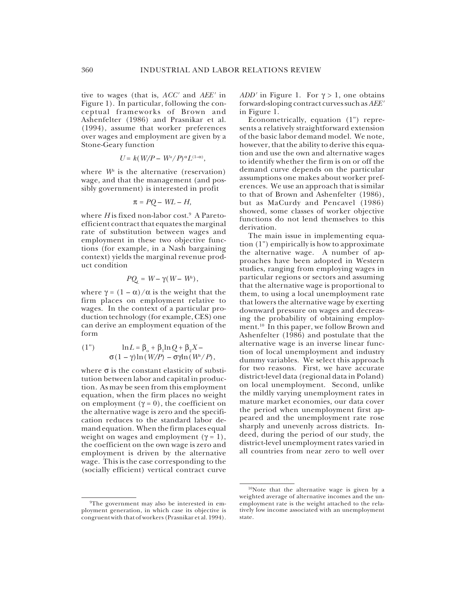tive to wages (that is, *ACC'* and *AEE'* in Figure 1). In particular, following the conceptual frameworks of Brown and Ashenfelter (1986) and Prasnikar et al. (1994), assume that worker preferences over wages and employment are given by a Stone-Geary function

$$
U = k(W/P - W^a/P)^{\alpha}L^{(1-\alpha)},
$$

where  $W^a$  is the alternative (reservation) wage, and that the management (and possibly government) is interested in profit

$$
\pi = PQ - WL - H,
$$

where *H* is fixed non-labor cost.<sup>9</sup> A Paretoefficient contract that equates the marginal rate of substitution between wages and employment in these two objective functions (for example, in a Nash bargaining context) yields the marginal revenue product condition

$$
PQ_{L} = W - \gamma(W - W^{2}),
$$

where  $\gamma = (1 - \alpha) / \alpha$  is the weight that the firm places on employment relative to wages. In the context of a particular production technology (for example, CES) one can derive an employment equation of the form

(1") 
$$
\ln L = \beta_0 + \beta_1 \ln Q + \beta_2 X - \sigma (1 - \gamma) \ln (W/P) - \sigma \gamma \ln (W^2/P),
$$

where  $\sigma$  is the constant elasticity of substitution between labor and capital in production. As may be seen from this employment equation, when the firm places no weight on employment ( $γ = 0$ ), the coefficient on the alternative wage is zero and the specification reduces to the standard labor demand equation. When the firm places equal weight on wages and employment ( $\gamma = 1$ ), the coefficient on the own wage is zero and employment is driven by the alternative wage. This is the case corresponding to the (socially efficient) vertical contract curve

*ADD'* in Figure 1. For γ > 1, one obtains forward-sloping contract curves such as *AEE'* in Figure 1.

Econometrically, equation (1") represents a relatively straightforward extension of the basic labor demand model. We note, however, that the ability to derive this equation and use the own and alternative wages to identify whether the firm is on or off the demand curve depends on the particular assumptions one makes about worker preferences. We use an approach that is similar to that of Brown and Ashenfelter (1986), but as MaCurdy and Pencavel (1986) showed, some classes of worker objective functions do not lend themselves to this derivation.

The main issue in implementing equation (1") empirically is how to approximate the alternative wage. A number of approaches have been adopted in Western studies, ranging from employing wages in particular regions or sectors and assuming that the alternative wage is proportional to them, to using a local unemployment rate that lowers the alternative wage by exerting downward pressure on wages and decreasing the probability of obtaining employment.<sup>10</sup> In this paper, we follow Brown and Ashenfelter (1986) and postulate that the alternative wage is an inverse linear function of local unemployment and industry dummy variables. We select this approach for two reasons. First, we have accurate district-level data (regional data in Poland) on local unemployment. Second, unlike the mildly varying unemployment rates in mature market economies, our data cover the period when unemployment first appeared and the unemployment rate rose sharply and unevenly across districts. Indeed, during the period of our study, the district-level unemployment rates varied in all countries from near zero to well over

<sup>&</sup>lt;sup>9</sup>The government may also be interested in employment generation, in which case its objective is congruent with that of workers (Prasnikar et al. 1994).

<sup>10</sup>Note that the alternative wage is given by a weighted average of alternative incomes and the unemployment rate is the weight attached to the relatively low income associated with an unemployment state.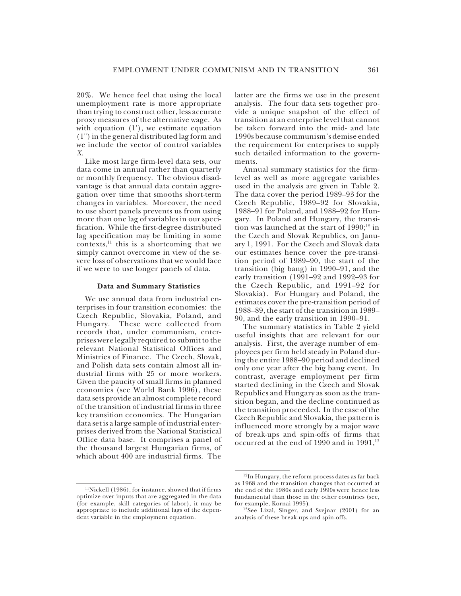20%. We hence feel that using the local unemployment rate is more appropriate than trying to construct other, less accurate proxy measures of the alternative wage. As with equation (1'), we estimate equation (1") in the general distributed lag form and we include the vector of control variables *X.*

Like most large firm-level data sets, our data come in annual rather than quarterly or monthly frequency. The obvious disadvantage is that annual data contain aggregation over time that smooths short-term changes in variables. Moreover, the need to use short panels prevents us from using more than one lag of variables in our specification. While the first-degree distributed lag specification may be limiting in some contexts,<sup>11</sup> this is a shortcoming that we simply cannot overcome in view of the severe loss of observations that we would face if we were to use longer panels of data.

#### **Data and Summary Statistics**

We use annual data from industrial enterprises in four transition economies: the Czech Republic, Slovakia, Poland, and Hungary. These were collected from records that, under communism, enterprises were legally required to submit to the relevant National Statistical Offices and Ministries of Finance. The Czech, Slovak, and Polish data sets contain almost all industrial firms with 25 or more workers. Given the paucity of small firms in planned economies (see World Bank 1996), these data sets provide an almost complete record of the transition of industrial firms in three key transition economies. The Hungarian data set is a large sample of industrial enterprises derived from the National Statistical Office data base. It comprises a panel of the thousand largest Hungarian firms, of which about 400 are industrial firms. The

 $\rm ^{11}Nickell$  (1986), for instance, showed that if firms optimize over inputs that are aggregated in the data (for example, skill categories of labor), it may be appropriate to include additional lags of the dependent variable in the employment equation.

latter are the firms we use in the present analysis. The four data sets together provide a unique snapshot of the effect of transition at an enterprise level that cannot be taken forward into the mid- and late 1990s because communism's demise ended the requirement for enterprises to supply such detailed information to the governments.

Annual summary statistics for the firmlevel as well as more aggregate variables used in the analysis are given in Table 2. The data cover the period 1989–93 for the Czech Republic, 1989–92 for Slovakia, 1988–91 for Poland, and 1988–92 for Hungary. In Poland and Hungary, the transition was launched at the start of  $1990;^{12}$  in the Czech and Slovak Republics, on January 1, 1991. For the Czech and Slovak data our estimates hence cover the pre-transition period of 1989–90, the start of the transition (big bang) in 1990–91, and the early transition (1991–92 and 1992–93 for the Czech Republic, and 1991–92 for Slovakia). For Hungary and Poland, the estimates cover the pre-transition period of 1988–89, the start of the transition in 1989– 90, and the early transition in 1990–91.

The summary statistics in Table 2 yield useful insights that are relevant for our analysis. First, the average number of employees per firm held steady in Poland during the entire 1988–90 period and declined only one year after the big bang event. In contrast, average employment per firm started declining in the Czech and Slovak Republics and Hungary as soon as the transition began, and the decline continued as the transition proceeded. In the case of the Czech Republic and Slovakia, the pattern is influenced more strongly by a major wave of break-ups and spin-offs of firms that occurred at the end of 1990 and in 1991,<sup>13</sup>

<sup>12</sup>In Hungary, the reform process dates as far back as 1968 and the transition changes that occurred at the end of the 1980s and early 1990s were hence less fundamental than those in the other countries (see, for example, Kornai 1995**)**.

<sup>13</sup>See Lizal, Singer, and Svejnar (2001) for an analysis of these break-ups and spin-offs.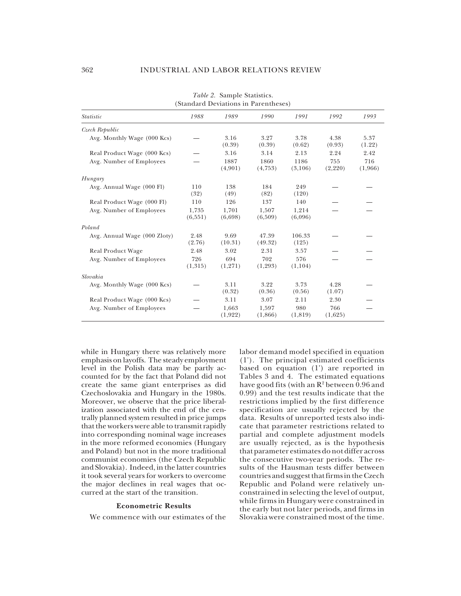|                              |                  |                  | (Standard Deviations in Parentheses) |                  |                |                |
|------------------------------|------------------|------------------|--------------------------------------|------------------|----------------|----------------|
| <i>Statistic</i>             | 1988             | 1989             | 1990                                 | 1991             | 1992           | 1993           |
| Czech Republic               |                  |                  |                                      |                  |                |                |
| Avg. Monthly Wage (000 Kcs)  |                  | 3.16<br>(0.39)   | 3.27<br>(0.39)                       | 3.78<br>(0.62)   | 4.38<br>(0.93) | 5.37<br>(1.22) |
| Real Product Wage (000 Kcs)  |                  | 3.16             | 3.14                                 | 2.13             | 2.24           | 2.42           |
| Avg. Number of Employees     |                  | 1887<br>(4,901)  | 1860<br>(4,753)                      | 1186<br>(3,106)  | 755<br>(2,220) | 716<br>(1,966) |
| Hungary                      |                  |                  |                                      |                  |                |                |
| Avg. Annual Wage (000 Fl)    | 110<br>(32)      | 138<br>(49)      | 184<br>(82)                          | 249<br>(120)     |                |                |
| Real Product Wage (000 Fl)   | 110              | 126              | 137                                  | 140              |                |                |
| Avg. Number of Employees     | 1,735<br>(6,551) | 1,701<br>(6,698) | 1,507<br>(6,509)                     | 1,214<br>(6,096) |                |                |
| Poland                       |                  |                  |                                      |                  |                |                |
| Avg. Annual Wage (000 Zloty) | 2.48<br>(2.76)   | 9.69<br>(10.31)  | 47.39<br>(49.32)                     | 106.33<br>(125)  |                |                |
| Real Product Wage            | 2.48             | 3.02             | 2.31                                 | 3.57             |                |                |
| Avg. Number of Employees     | 726<br>(1,315)   | 694<br>(1,271)   | 702<br>(1,293)                       | 576<br>(1,104)   |                |                |
| Slovakia                     |                  |                  |                                      |                  |                |                |
| Avg. Monthly Wage (000 Kcs)  |                  | 3.11<br>(0.32)   | 3.22<br>(0.36)                       | 3.73<br>(0.56)   | 4.28<br>(1.07) |                |
| Real Product Wage (000 Kcs)  |                  | 3.11             | 3.07                                 | 2.11             | 2.30           |                |
| Avg. Number of Employees     |                  | 1,663<br>(1,922) | 1.597<br>(1,866)                     | 980<br>(1,819)   | 766<br>(1,625) |                |

*Table 2.* Sample Statistics. (Standard Deviations in Parentheses)

while in Hungary there was relatively more emphasis on layoffs. The steady employment level in the Polish data may be partly accounted for by the fact that Poland did not create the same giant enterprises as did Czechoslovakia and Hungary in the 1980s. Moreover, we observe that the price liberalization associated with the end of the centrally planned system resulted in price jumps that the workers were able to transmit rapidly into corresponding nominal wage increases in the more reformed economies (Hungary and Poland) but not in the more traditional communist economies (the Czech Republic and Slovakia). Indeed, in the latter countries it took several years for workers to overcome the major declines in real wages that occurred at the start of the transition.

#### **Econometric Results**

We commence with our estimates of the

labor demand model specified in equation (1'). The principal estimated coefficients based on equation (1') are reported in Tables 3 and 4. The estimated equations have good fits (with an  $\mathbb{R}^2$  between 0.96 and 0.99) and the test results indicate that the restrictions implied by the first difference specification are usually rejected by the data. Results of unreported tests also indicate that parameter restrictions related to partial and complete adjustment models are usually rejected, as is the hypothesis that parameter estimates do not differ across the consecutive two-year periods. The results of the Hausman tests differ between countries and suggest that firms in the Czech Republic and Poland were relatively unconstrained in selecting the level of output, while firms in Hungary were constrained in the early but not later periods, and firms in Slovakia were constrained most of the time.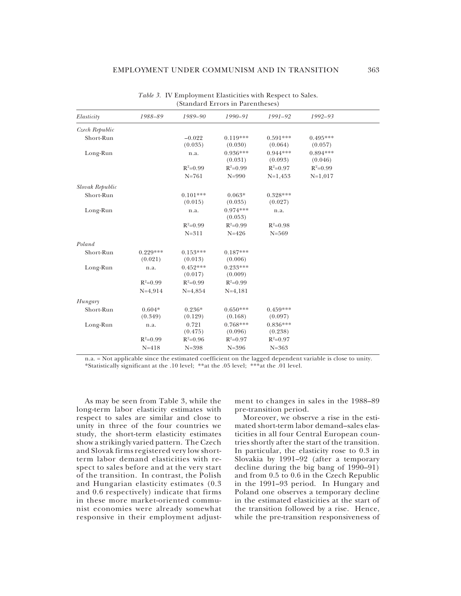| Elasticity      | 1988-89    | 1989-90    | 1990-91               | 1991-92    | 1992-93    |  |
|-----------------|------------|------------|-----------------------|------------|------------|--|
| Czech Republic  |            |            |                       |            |            |  |
| Short-Run       |            | $-0.022$   | $0.119***$            | $0.591***$ | $0.495***$ |  |
|                 |            | (0.035)    | (0.030)               | (0.064)    | (0.057)    |  |
| Long-Run        |            | n.a.       | $0.936***$            | $0.944***$ | $0.894***$ |  |
|                 |            |            | (0.031)               | (0.093)    | (0.046)    |  |
|                 |            | $R^2=0.99$ | $R^2=0.99$            | $R^2=0.97$ | $R^2=0.99$ |  |
|                 |            | $N = 761$  | $N = 990$             | $N=1,453$  | $N=1,017$  |  |
| Slovak Republic |            |            |                       |            |            |  |
| Short-Run       |            | $0.101***$ | $0.063*$              | $0.328***$ |            |  |
|                 |            | (0.015)    | (0.035)               | (0.027)    |            |  |
| Long-Run        |            | n.a.       | $0.974***$<br>(0.053) | n.a.       |            |  |
|                 |            | $R^2=0.99$ | $R^2=0.99$            | $R^2=0.98$ |            |  |
|                 |            | $N = 311$  | $N = 426$             | $N = 569$  |            |  |
| Poland          |            |            |                       |            |            |  |
| Short-Run       | $0.229***$ | $0.153***$ | $0.187***$            |            |            |  |
|                 | (0.021)    | (0.013)    | (0.006)               |            |            |  |
| Long-Run        | n.a.       | $0.452***$ | $0.233***$            |            |            |  |
|                 |            | (0.017)    | (0.009)               |            |            |  |
|                 | $R^2=0.99$ | $R^2=0.99$ | $R^2=0.99$            |            |            |  |
|                 | $N=4,914$  | $N=4,854$  | $N=4,181$             |            |            |  |
| Hungary         |            |            |                       |            |            |  |
| Short-Run       | $0.604*$   | $0.236*$   | $0.650***$            | $0.459***$ |            |  |
|                 | (0.349)    | (0.129)    | (0.168)               | (0.097)    |            |  |
| Long-Run        | n.a.       | 0.721      | $0.768***$            | $0.836***$ |            |  |
|                 |            | (0.475)    | (0.096)               | (0.238)    |            |  |
|                 | $R^2=0.99$ | $R^2=0.96$ | $R^2=0.97$            | $R^2=0.97$ |            |  |
|                 | $N = 418$  | $N = 398$  | $N = 396$             | $N = 363$  |            |  |
|                 |            |            |                       |            |            |  |

*Table 3.* IV Employment Elasticities with Respect to Sales. (Standard Errors in Parentheses)

n.a. = Not applicable since the estimated coefficient on the lagged dependent variable is close to unity. \*Statistically significant at the .10 level; \*\*at the .05 level; \*\*\*at the .01 level.

As may be seen from Table 3, while the long-term labor elasticity estimates with respect to sales are similar and close to unity in three of the four countries we study, the short-term elasticity estimates show a strikingly varied pattern. The Czech and Slovak firms registered very low shortterm labor demand elasticities with respect to sales before and at the very start of the transition. In contrast, the Polish and Hungarian elasticity estimates (0.3 and 0.6 respectively) indicate that firms in these more market-oriented communist economies were already somewhat responsive in their employment adjustment to changes in sales in the 1988–89 pre-transition period.

Moreover, we observe a rise in the estimated short-term labor demand–sales elasticities in all four Central European countries shortly after the start of the transition. In particular, the elasticity rose to 0.3 in Slovakia by 1991–92 (after a temporary decline during the big bang of  $1990-91$ ) and from 0.5 to 0.6 in the Czech Republic in the 1991–93 period. In Hungary and Poland one observes a temporary decline in the estimated elasticities at the start of the transition followed by a rise. Hence, while the pre-transition responsiveness of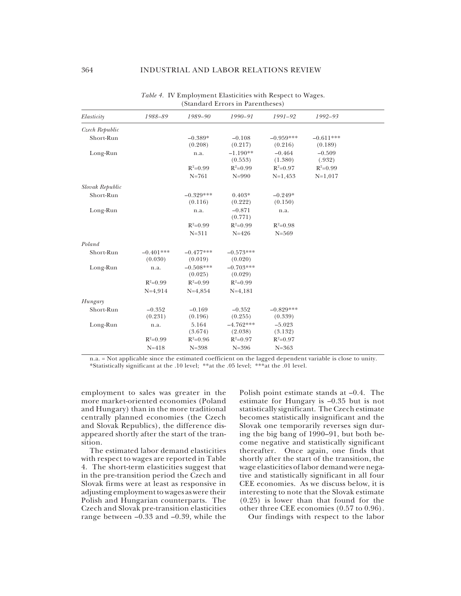|                 |             |             | $\sim$ . The same of $\sim$ 10 m $\sim$ 10 m $\sim$ 10 m $\sim$ 10 m $\sim$ 10 m $\sim$ 10 m $\sim$ 10 m $\sim$ |             |             |  |
|-----------------|-------------|-------------|-----------------------------------------------------------------------------------------------------------------|-------------|-------------|--|
| Elasticity      | 1988-89     | 1989-90     | 1990-91                                                                                                         | 1991-92     | 1992-93     |  |
| Czech Republic  |             |             |                                                                                                                 |             |             |  |
| Short-Run       |             | $-0.389*$   | $-0.108$                                                                                                        | $-0.959***$ | $-0.611***$ |  |
|                 |             | (0.208)     | (0.217)                                                                                                         | (0.216)     | (0.189)     |  |
| Long-Run        |             | n.a.        | $-1.190**$                                                                                                      | $-0.464$    | $-0.509$    |  |
|                 |             |             | (0.553)                                                                                                         | (1.380)     | (.932)      |  |
|                 |             | $R^2=0.99$  | $R^2=0.99$                                                                                                      | $R^2=0.97$  | $R^2=0.99$  |  |
|                 |             | $N = 761$   | $N = 990$                                                                                                       | $N=1,453$   | $N=1,017$   |  |
| Slovak Republic |             |             |                                                                                                                 |             |             |  |
| Short-Run       |             | $-0.329***$ | $0.403*$                                                                                                        | $-0.249*$   |             |  |
|                 |             | (0.116)     | (0.222)                                                                                                         | (0.150)     |             |  |
| Long-Run        |             | n.a.        | $-0.871$                                                                                                        | n.a.        |             |  |
|                 |             |             | (0.771)                                                                                                         |             |             |  |
|                 |             | $R^2=0.99$  | $R^2=0.99$                                                                                                      | $R^2=0.98$  |             |  |
|                 |             | $N = 311$   | $N = 426$                                                                                                       | $N = 569$   |             |  |
| Poland          |             |             |                                                                                                                 |             |             |  |
| Short-Run       | $-0.401***$ | $-0.477***$ | $-0.573***$                                                                                                     |             |             |  |
|                 | (0.030)     | (0.019)     | (0.020)                                                                                                         |             |             |  |
| Long-Run        | n.a.        | $-0.508***$ | $-0.703***$                                                                                                     |             |             |  |
|                 |             | (0.025)     | (0.029)                                                                                                         |             |             |  |
|                 | $R^2=0.99$  | $R^2=0.99$  | $R^2=0.99$                                                                                                      |             |             |  |
|                 | $N=4,914$   | $N=4,854$   | $N=4,181$                                                                                                       |             |             |  |
| Hungary         |             |             |                                                                                                                 |             |             |  |
| Short-Run       | $-0.352$    | $-0.169$    | $-0.352$                                                                                                        | $-0.829***$ |             |  |
|                 | (0.231)     | (0.196)     | (0.255)                                                                                                         | (0.339)     |             |  |
| Long-Run        | n.a.        | 5.164       | $-4.762***$                                                                                                     | $-5.023$    |             |  |
|                 |             | (3.674)     | (2.038)                                                                                                         | (3.132)     |             |  |
|                 | $R^2=0.99$  | $R^2=0.96$  | $R^2=0.97$                                                                                                      | $R^2=0.97$  |             |  |
|                 | $N = 418$   | $N = 398$   | $N = 396$                                                                                                       | $N = 363$   |             |  |

*Table 4.* IV Employment Elasticities with Respect to Wages. (Standard Errors in Parentheses)

n.a. = Not applicable since the estimated coefficient on the lagged dependent variable is close to unity. \*Statistically significant at the .10 level; \*\*at the .05 level; \*\*\*at the .01 level.

employment to sales was greater in the more market-oriented economies (Poland and Hungary) than in the more traditional centrally planned economies (the Czech and Slovak Republics), the difference disappeared shortly after the start of the transition.

The estimated labor demand elasticities with respect to wages are reported in Table 4. The short-term elasticities suggest that in the pre-transition period the Czech and Slovak firms were at least as responsive in adjusting employment to wages as were their Polish and Hungarian counterparts. The Czech and Slovak pre-transition elasticities range between  $-0.33$  and  $-0.39$ , while the

Polish point estimate stands at –0.4. The estimate for Hungary is –0.35 but is not statistically significant. The Czech estimate becomes statistically insignificant and the Slovak one temporarily reverses sign during the big bang of 1990–91, but both become negative and statistically significant thereafter. Once again, one finds that shortly after the start of the transition, the wage elasticities of labor demand were negative and statistically significant in all four CEE economies. As we discuss below, it is interesting to note that the Slovak estimate (0.25) is lower than that found for the other three CEE economies (0.57 to 0.96).

Our findings with respect to the labor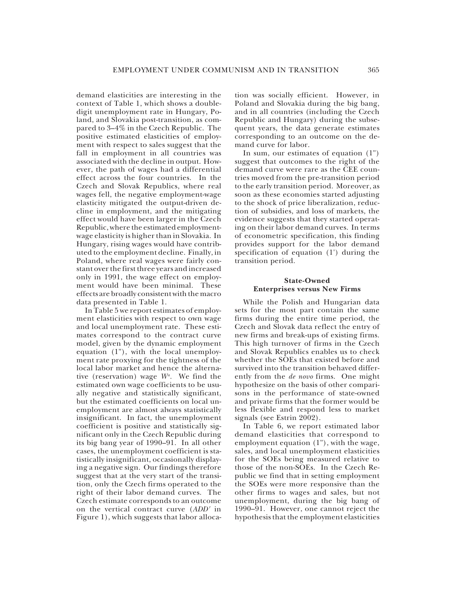demand elasticities are interesting in the context of Table 1, which shows a doubledigit unemployment rate in Hungary, Poland, and Slovakia post-transition, as compared to 3–4% in the Czech Republic. The positive estimated elasticities of employment with respect to sales suggest that the fall in employment in all countries was associated with the decline in output. However, the path of wages had a differential effect across the four countries. In the Czech and Slovak Republics, where real wages fell, the negative employment-wage elasticity mitigated the output-driven decline in employment, and the mitigating effect would have been larger in the Czech Republic, where the estimated employmentwage elasticity is higher than in Slovakia. In Hungary, rising wages would have contributed to the employment decline. Finally, in Poland, where real wages were fairly constant over the first three years and increased only in 1991, the wage effect on employment would have been minimal. These effects are broadly consistent with the macro data presented in Table 1.

In Table 5 we report estimates of employment elasticities with respect to own wage and local unemployment rate. These estimates correspond to the contract curve model, given by the dynamic employment equation (1"), with the local unemployment rate proxying for the tightness of the local labor market and hence the alternative (reservation) wage *Wa .* We find the estimated own wage coefficients to be usually negative and statistically significant, but the estimated coefficients on local unemployment are almost always statistically insignificant. In fact, the unemployment coefficient is positive and statistically significant only in the Czech Republic during its big bang year of 1990–91. In all other cases, the unemployment coefficient is statistically insignificant, occasionally displaying a negative sign. Our findings therefore suggest that at the very start of the transition, only the Czech firms operated to the right of their labor demand curves. The Czech estimate corresponds to an outcome on the vertical contract curve (*ADD'* in Figure 1), which suggests that labor alloca-

tion was socially efficient. However, in Poland and Slovakia during the big bang, and in all countries (including the Czech Republic and Hungary) during the subsequent years, the data generate estimates corresponding to an outcome on the demand curve for labor.

In sum, our estimates of equation (1") suggest that outcomes to the right of the demand curve were rare as the CEE countries moved from the pre-transition period to the early transition period. Moreover, as soon as these economies started adjusting to the shock of price liberalization, reduction of subsidies, and loss of markets, the evidence suggests that they started operating on their labor demand curves. In terms of econometric specification, this finding provides support for the labor demand specification of equation (1') during the transition period.

## **State-Owned Enterprises versus New Firms**

While the Polish and Hungarian data sets for the most part contain the same firms during the entire time period, the Czech and Slovak data reflect the entry of new firms and break-ups of existing firms. This high turnover of firms in the Czech and Slovak Republics enables us to check whether the SOEs that existed before and survived into the transition behaved differently from the *de novo* firms. One might hypothesize on the basis of other comparisons in the performance of state-owned and private firms that the former would be less flexible and respond less to market signals (see Estrin 2002).

In Table 6, we report estimated labor demand elasticities that correspond to employment equation (1"), with the wage, sales, and local unemployment elasticities for the SOEs being measured relative to those of the non-SOEs. In the Czech Republic we find that in setting employment the SOEs were more responsive than the other firms to wages and sales, but not unemployment, during the big bang of 1990–91. However, one cannot reject the hypothesis that the employment elasticities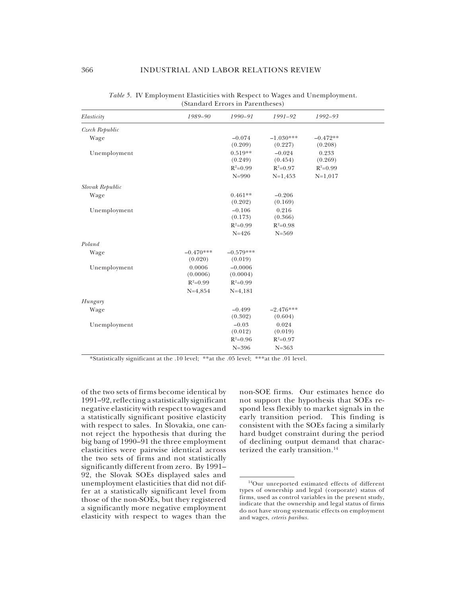| Elasticity      | 1989-90     | 1990-91     | 1991-92     | 1992-93    |  |
|-----------------|-------------|-------------|-------------|------------|--|
| Czech Republic  |             |             |             |            |  |
| Wage            |             | $-0.074$    | $-1.030***$ | $-0.472**$ |  |
|                 |             | (0.209)     | (0.227)     | (0.208)    |  |
| Unemployment    |             | $0.519**$   | $-0.024$    | 0.233      |  |
|                 |             | (0.249)     | (0.454)     | (0.269)    |  |
|                 |             | $R^2=0.99$  | $R^2=0.97$  | $R^2=0.99$ |  |
|                 |             | $N = 990$   | $N=1,453$   | $N=1,017$  |  |
| Slovak Republic |             |             |             |            |  |
| Wage            |             | $0.461**$   | $-0.206$    |            |  |
|                 |             | (0.202)     | (0.169)     |            |  |
| Unemployment    |             | $-0.106$    | 0.216       |            |  |
|                 |             | (0.173)     | (0.366)     |            |  |
|                 |             | $R^2=0.99$  | $R^2=0.98$  |            |  |
|                 |             | $N = 426$   | $N = 569$   |            |  |
| Poland          |             |             |             |            |  |
| Wage            | $-0.470***$ | $-0.579***$ |             |            |  |
|                 | (0.020)     | (0.019)     |             |            |  |
| Unemployment    | 0.0006      | $-0.0006$   |             |            |  |
|                 | (0.0006)    | (0.0004)    |             |            |  |
|                 | $R^2=0.99$  | $R^2=0.99$  |             |            |  |
|                 | $N=4,854$   | $N=4,181$   |             |            |  |
| Hungary         |             |             |             |            |  |
| Wage            |             | $-0.499$    | $-2.476***$ |            |  |
|                 |             | (0.302)     | (0.604)     |            |  |
| Unemployment    |             | $-0.03$     | 0.024       |            |  |
|                 |             | (0.012)     | (0.019)     |            |  |
|                 |             | $R^2=0.96$  | $R^2=0.97$  |            |  |
|                 |             | $N = 396$   | $N = 363$   |            |  |
|                 |             |             |             |            |  |

*Table 5.* IV Employment Elasticities with Respect to Wages and Unemployment. (Standard Errors in Parentheses)

\*Statistically significant at the .10 level; \*\*at the .05 level; \*\*\*at the .01 level.

of the two sets of firms become identical by 1991–92, reflecting a statistically significant negative elasticity with respect to wages and a statistically significant positive elasticity with respect to sales. In Slovakia, one cannot reject the hypothesis that during the big bang of 1990–91 the three employment elasticities were pairwise identical across the two sets of firms and not statistically significantly different from zero. By 1991– 92, the Slovak SOEs displayed sales and unemployment elasticities that did not differ at a statistically significant level from those of the non-SOEs, but they registered a significantly more negative employment elasticity with respect to wages than the non-SOE firms. Our estimates hence do not support the hypothesis that SOEs respond less flexibly to market signals in the early transition period. This finding is consistent with the SOEs facing a similarly hard budget constraint during the period of declining output demand that characterized the early transition.<sup>14</sup>

<sup>14</sup>Our unreported estimated effects of different types of ownership and legal (corporate) status of firms, used as control variables in the present study, indicate that the ownership and legal status of firms do not have strong systematic effects on employment and wages, *ceteris paribus.*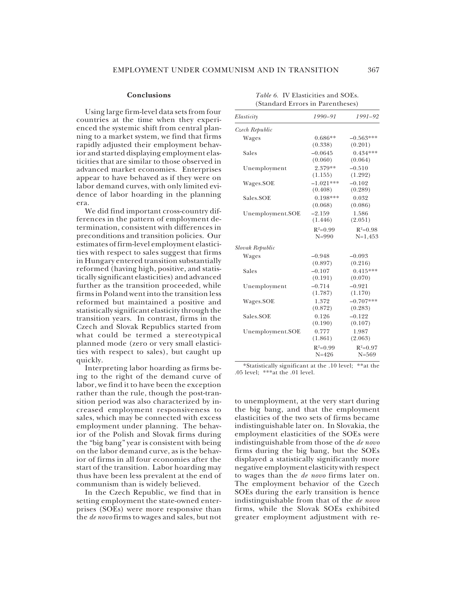#### **Conclusions**

Using large firm-level data sets from four countries at the time when they experienced the systemic shift from central planning to a market system, we find that firms rapidly adjusted their employment behavior and started displaying employment elasticities that are similar to those observed in advanced market economies. Enterprises appear to have behaved as if they were on labor demand curves, with only limited evidence of labor hoarding in the planning era.

We did find important cross-country differences in the pattern of employment determination, consistent with differences in preconditions and transition policies. Our estimates of firm-level employment elasticities with respect to sales suggest that firms in Hungary entered transition substantially reformed (having high, positive, and statistically significant elasticities) and advanced further as the transition proceeded, while firms in Poland went into the transition less reformed but maintained a positive and statistically significant elasticity through the transition years. In contrast, firms in the Czech and Slovak Republics started from what could be termed a stereotypical planned mode (zero or very small elasticities with respect to sales), but caught up quickly.

Interpreting labor hoarding as firms being to the right of the demand curve of labor, we find it to have been the exception rather than the rule, though the post-transition period was also characterized by increased employment responsiveness to sales, which may be connected with excess employment under planning. The behavior of the Polish and Slovak firms during the "big bang" year is consistent with being on the labor demand curve, as is the behavior of firms in all four economies after the start of the transition. Labor hoarding may thus have been less prevalent at the end of communism than is widely believed.

In the Czech Republic, we find that in setting employment the state-owned enterprises (SOEs) were more responsive than the *de novo* firms to wages and sales, but not

| Elasticity       | 1990-91                          | 1991-92                        |
|------------------|----------------------------------|--------------------------------|
| Czech Republic   |                                  |                                |
| Wages            | $0.686**$<br>(0.338)             | $-0.563***$<br>(0.201)         |
| Sales            | $-0.0645$<br>(0.060)             | $0.434***$<br>(0.064)          |
| Unemployment     | 2.379**                          | $-0.510$                       |
| Wages.SOE        | (1.155)<br>$-1.021***$           | (1.292)<br>$-0.102$            |
| Sales.SOE        | (0.408)<br>$0.198***$<br>(0.068) | (0.289)<br>0.032<br>(0.086)    |
| Unemployment.SOE | $-2.159$<br>(1.446)              | 1.586<br>(2.051)               |
|                  | $R^2=0.99$<br>$N = 990$          | $R^2=0.98$<br>$N=1,453$        |
| Slovak Republic  |                                  |                                |
| Wages            | $-0.948$<br>(0.897)              | $-0.093$<br>(0.216)            |
| Sales            | $-0.107$<br>(0.191)              | $0.415***$<br>(0.070)          |
| Unemployment     | $-0.714$<br>(1.787)              | $-0.921$<br>(1.170)            |
| Wages.SOE        | 1.372                            | $-0.707***$                    |
| Sales.SOE        | (0.872)<br>0.126<br>(0.190)      | (0.283)<br>$-0.122$<br>(0.107) |
| Unemployment.SOE | 0.777<br>(1.861)                 | 1.987<br>(2.063)               |
|                  | $R^2=0.99$<br>$N = 426$          | $R^2=0.97$<br>$N = 569$        |

*Table 6.* IV Elasticities and SOEs. (Standard Errors in Parentheses)

\*Statistically significant at the .10 level; \*\*at the .05 level;  $***$ at the .01 level.

to unemployment, at the very start during the big bang, and that the employment elasticities of the two sets of firms became indistinguishable later on. In Slovakia, the employment elasticities of the SOEs were indistinguishable from those of the *de novo* firms during the big bang, but the SOEs displayed a statistically significantly more negative employment elasticity with respect to wages than the *de novo* firms later on. The employment behavior of the Czech SOEs during the early transition is hence indistinguishable from that of the *de novo* firms, while the Slovak SOEs exhibited greater employment adjustment with re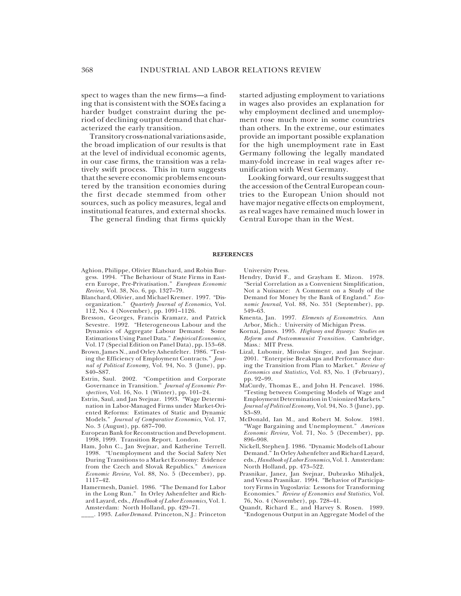spect to wages than the new firms—a finding that is consistent with the SOEs facing a harder budget constraint during the period of declining output demand that characterized the early transition.

Transitory cross-national variations aside, the broad implication of our results is that at the level of individual economic agents, in our case firms, the transition was a relatively swift process. This in turn suggests that the severe economic problems encountered by the transition economies during the first decade stemmed from other sources, such as policy measures, legal and institutional features, and external shocks.

The general finding that firms quickly

started adjusting employment to variations in wages also provides an explanation for why employment declined and unemployment rose much more in some countries than others. In the extreme, our estimates provide an important possible explanation for the high unemployment rate in East Germany following the legally mandated many-fold increase in real wages after reunification with West Germany.

Looking forward, our results suggest that the accession of the Central European countries to the European Union should not have major negative effects on employment, as real wages have remained much lower in Central Europe than in the West.

#### **REFERENCES**

- Aghion, Philippe, Olivier Blanchard, and Robin Burgess. 1994. "The Behaviour of State Firms in Eastern Europe, Pre-Privatisation." *European Economic Review,* Vol. 38, No. 6, pp. 1327–79.
- Blanchard, Olivier, and Michael Kremer. 1997. "Disorganization." *Quarterly Journal of Economics,* Vol. 112, No. 4 (November), pp. 1091–1126.
- Bresson, Georges, Francis Kramarz, and Patrick Sevestre. 1992. "Heterogeneous Labour and the Dynamics of Aggregate Labour Demand: Some Estimations Using Panel Data." *Empirical Economics,* Vol. 17 (Special Edition on Panel Data), pp. 153–68.
- Brown, James N., and Orley Ashenfelter. 1986. "Testing the Efficiency of Employment Contracts." *Journal of Political Economy,* Vol. 94, No. 3 (June), pp. S40–S87.
- Estrin, Saul. 2002. "Competition and Corporate Governance in Transition." *Journal of Economic Perspectives,* Vol. 16, No. 1 (Winter), pp. 101–24.
- Estrin, Saul, and Jan Svejnar. 1993. "Wage Determination in Labor-Managed Firms under Market-Oriented Reforms: Estimates of Static and Dynamic Models." *Journal of Comparative Economics,* Vol. 17, No. 3 (August), pp. 687–700.
- European Bank for Reconstruction and Development. 1998, 1999. Transition Report. London.
- Ham, John C., Jan Svejnar, and Katherine Terrell. 1998. "Unemployment and the Social Safety Net During Transitions to a Market Economy: Evidence from the Czech and Slovak Republics." *American Economic Review,* Vol. 88, No. 5 (December), pp. 1117–42.
- Hamermesh, Daniel. 1986. "The Demand for Labor in the Long Run." In Orley Ashenfelter and Richard Layard, eds., *Handbook of Labor Economics,* Vol. 1. Amsterdam: North Holland, pp. 429–71.
- \_\_\_\_. 1993. *Labor Demand.* Princeton, N.J.: Princeton

University Press.

- Hendry, David F., and Grayham E. Mizon. 1978. "Serial Correlation as a Convenient Simplification, Not a Nuisance: A Comment on a Study of the Demand for Money by the Bank of England." *Economic Journal,* Vol. 88, No. 351 (September), pp. 549–63.
- Kmenta, Jan. 1997. *Elements of Econometrics.* Ann Arbor, Mich.: University of Michigan Press.
- Kornai, Janos. 1995. *Highway and Byways: Studies on Reform and Postcommunist Transition.* Cambridge, Mass.: MIT Press.
- Lizal, Lubomir, Miroslav Singer, and Jan Svejnar. 2001. "Enterprise Breakups and Performance during the Transition from Plan to Market." *Review of Economics and Statistics,* Vol. 83, No. 1 (February), pp. 92–99.
- MaCurdy, Thomas E., and John H. Pencavel. 1986. "Testing between Competing Models of Wage and Employment Determination in Unionized Markets." *Journal of Political Economy,* Vol. 94, No. 3 (June), pp. S3–S9.
- McDonald, Ian M., and Robert M. Solow. 1981. "Wage Bargaining and Unemployment." *American Economic Review,* Vol. 71, No. 5 (December), pp. 896–908.
- Nickell, Stephen J. 1986. "Dynamic Models of Labour Demand." In Orley Ashenfelter and Richard Layard, eds., *Handbook of Labor Economics,* Vol. 1. Amsterdam: North Holland, pp. 473–522.
- Prasnikar, Janez, Jan Svejnar, Dubravko Mihaljek, and Vesna Prasnikar. 1994. "Behavior of Participatory Firms in Yugoslavia: Lessons for Transforming Economies." *Review of Economics and Statistics*, Vol. 76, No. 4 (November), pp. 728–41.
- Quandt, Richard E., and Harvey S. Rosen. 1989. "Endogenous Output in an Aggregate Model of the